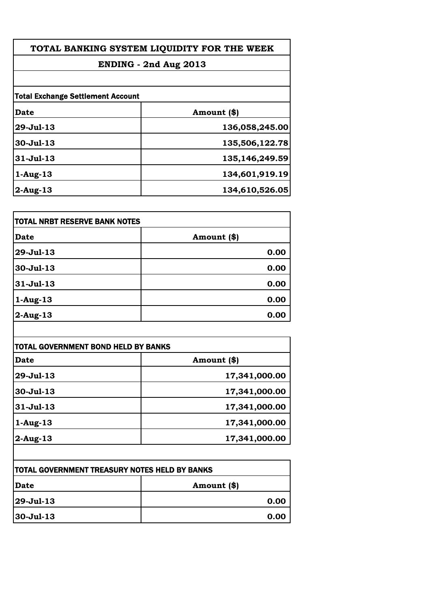| TOTAL BANKING SYSTEM LIQUIDITY FOR THE WEEK |                |
|---------------------------------------------|----------------|
| ENDING - 2nd Aug 2013                       |                |
| <b>Total Exchange Settlement Account</b>    |                |
|                                             |                |
| $29 - Jul - 13$                             | 136,058,245.00 |
| $30 -$ Jul $-13$                            | 135,506,122.78 |
| $31 - Jul - 13$                             | 135,146,249.59 |
| $1-Aug-13$                                  | 134,601,919.19 |
| $2$ -Aug-13                                 | 134,610,526.05 |
|                                             |                |

| <b>TOTAL NRBT RESERVE BANK NOTES</b> |             |
|--------------------------------------|-------------|
| <b>Date</b>                          | Amount (\$) |
| 29-Jul-13                            | 0.00        |
| 30-Jul-13                            | 0.00        |
| $31 -$ Jul $-13$                     | 0.00        |
| $1-Aug-13$                           | 0.00        |
| 2-Aug-13                             | 0.00        |

| Date        | Amount (\$)   |
|-------------|---------------|
| $29-Jul-13$ | 17,341,000.00 |
| 30-Jul-13   | 17,341,000.00 |
| $31-Jul-13$ | 17,341,000.00 |
| $1-Aug-13$  | 17,341,000.00 |
| $2$ -Aug-13 | 17,341,000.00 |

| <b>TOTAL GOVERNMENT TREASURY NOTES HELD BY BANKS</b> |             |
|------------------------------------------------------|-------------|
| Date                                                 | Amount (\$) |
| $ 29 - \text{Jul} - 13 $                             | 0.00        |
| $ 30 - Ju1 - 13 $                                    | 0.00        |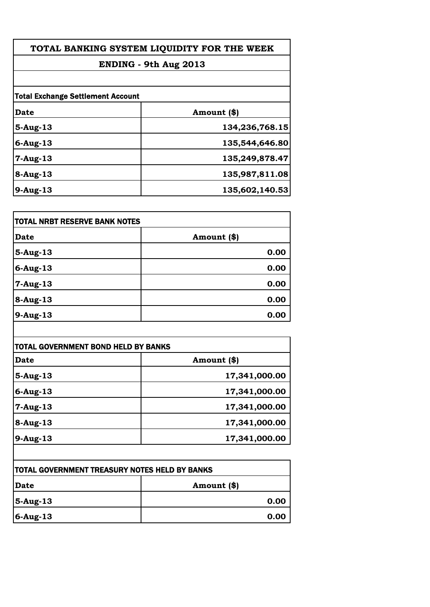| TOTAL BANKING SYSTEM LIQUIDITY FOR THE WEEK |                |  |
|---------------------------------------------|----------------|--|
| ENDING - 9th Aug 2013                       |                |  |
|                                             |                |  |
| <b>Total Exchange Settlement Account</b>    |                |  |
| <b>Date</b>                                 | Amount (\$)    |  |
| $5-Aug-13$                                  | 134,236,768.15 |  |
| $6$ -Aug-13                                 | 135,544,646.80 |  |
| $7 - Aug-13$                                | 135,249,878.47 |  |
| $8-Aug-13$                                  | 135,987,811.08 |  |
| 9-Aug-13                                    | 135,602,140.53 |  |
|                                             |                |  |

| <b>TOTAL NRBT RESERVE BANK NOTES</b> |             |
|--------------------------------------|-------------|
| <b>Date</b>                          | Amount (\$) |
| $5-Aug-13$                           | 0.00        |
| $6$ -Aug-13                          | 0.00        |
| 7-Aug-13                             | 0.00        |
| $8-Aug-13$                           | 0.00        |
| 9-Aug-13                             | 0.00        |

| Date           | Amount (\$)   |
|----------------|---------------|
| $5-Aug-13$     | 17,341,000.00 |
| $6$ -Aug-13    | 17,341,000.00 |
| $7 - Aug - 13$ | 17,341,000.00 |
| $8-Aug-13$     | 17,341,000.00 |
| $9-Aug-13$     | 17,341,000.00 |

| <b>TOTAL GOVERNMENT TREASURY NOTES HELD BY BANKS</b> |               |
|------------------------------------------------------|---------------|
| Date                                                 | Amount $(\$)$ |
| $ 5-Aug-13 $                                         | 0.00          |
| $6$ -Aug-13                                          | 0.00          |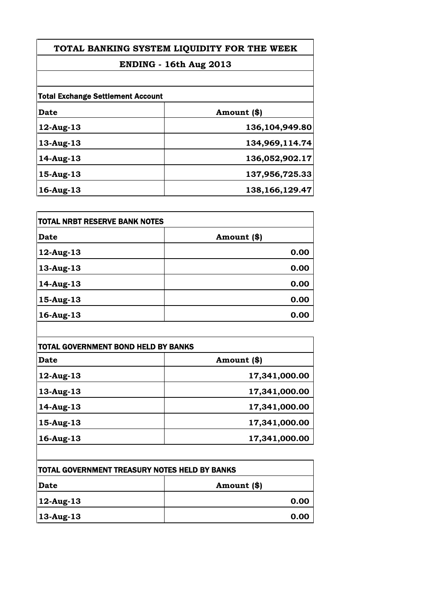## **TOTAL BANKING SYSTEM LIQUIDITY FOR THE WEEK**

# **ENDING - 16th Aug 2013**

| <b>Total Exchange Settlement Account</b> |                   |
|------------------------------------------|-------------------|
| Date                                     | Amount (\$)       |
| 12-Aug-13                                | 136,104,949.80    |
| 13-Aug-13                                | 134,969,114.74    |
| $14$ -Aug-13                             | 136,052,902.17    |
| $15$ -Aug- $13$                          | 137,956,725.33    |
| $16$ -Aug- $13$                          | 138, 166, 129. 47 |

| <b>TOTAL NRBT RESERVE BANK NOTES</b> |             |
|--------------------------------------|-------------|
| <b>Date</b>                          | Amount (\$) |
| 12-Aug-13                            | 0.00        |
| 13-Aug-13                            | 0.00        |
| 14-Aug-13                            | 0.00        |
| 15-Aug-13                            | 0.00        |
| 16-Aug-13                            | 0.00        |
|                                      |             |

| TOTAL GOVERNMENT BOND HELD BY BANKS |               |
|-------------------------------------|---------------|
| Date                                | Amount (\$)   |
| $12$ -Aug-13                        | 17,341,000.00 |
| 13-Aug-13                           | 17,341,000.00 |
| 14-Aug-13                           | 17,341,000.00 |
| $15$ -Aug-13                        | 17,341,000.00 |
| 16-Aug-13                           | 17,341,000.00 |

| <b>TOTAL GOVERNMENT TREASURY NOTES HELD BY BANKS</b> |             |
|------------------------------------------------------|-------------|
| <b> Date</b>                                         | Amount (\$) |
| $ 12$ -Aug-13                                        | 0.00        |
| $ 13$ -Aug-13                                        | 0.00        |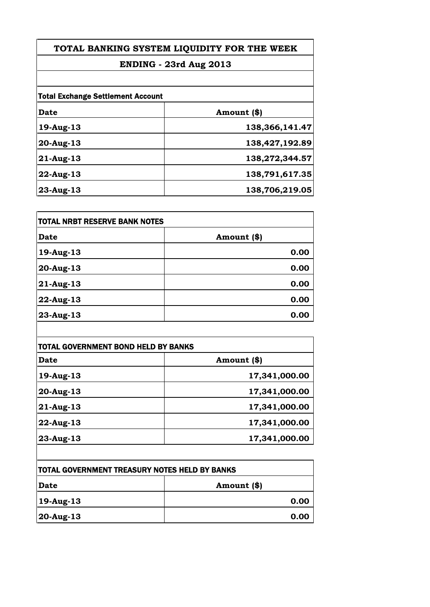# **TOTAL BANKING SYSTEM LIQUIDITY FOR THE WEEK**

# **ENDING - 23rd Aug 2013**

| <b>Total Exchange Settlement Account</b> |                |
|------------------------------------------|----------------|
| Date                                     | Amount (\$)    |
| 19-Aug-13                                | 138,366,141.47 |
| $20$ -Aug-13                             | 138,427,192.89 |
| $21$ -Aug-13                             | 138,272,344.57 |
| $22$ -Aug-13                             | 138,791,617.35 |
| $23$ -Aug-13                             | 138,706,219.05 |

| TOTAL NRBT RESERVE BANK NOTES |             |
|-------------------------------|-------------|
| <b>Date</b>                   | Amount (\$) |
| 19-Aug-13                     | 0.00        |
| 20-Aug-13                     | 0.00        |
| 21-Aug-13                     | 0.00        |
| 22-Aug-13                     | 0.00        |
| 23-Aug-13                     | 0.00        |

| <b>TOTAL GOVERNMENT BOND HELD BY BANKS</b> |               |
|--------------------------------------------|---------------|
| Date                                       | Amount (\$)   |
| 19-Aug-13                                  | 17,341,000.00 |
| $20-Aug-13$                                | 17,341,000.00 |
| $21$ -Aug-13                               | 17,341,000.00 |
| $22$ -Aug-13                               | 17,341,000.00 |
| 23-Aug-13                                  | 17,341,000.00 |

| <b>TOTAL GOVERNMENT TREASURY NOTES HELD BY BANKS</b> |             |
|------------------------------------------------------|-------------|
| Date                                                 | Amount (\$) |
| $ 19$ -Aug-13                                        | 0.00        |
| $ 20$ -Aug-13                                        | 0.00        |